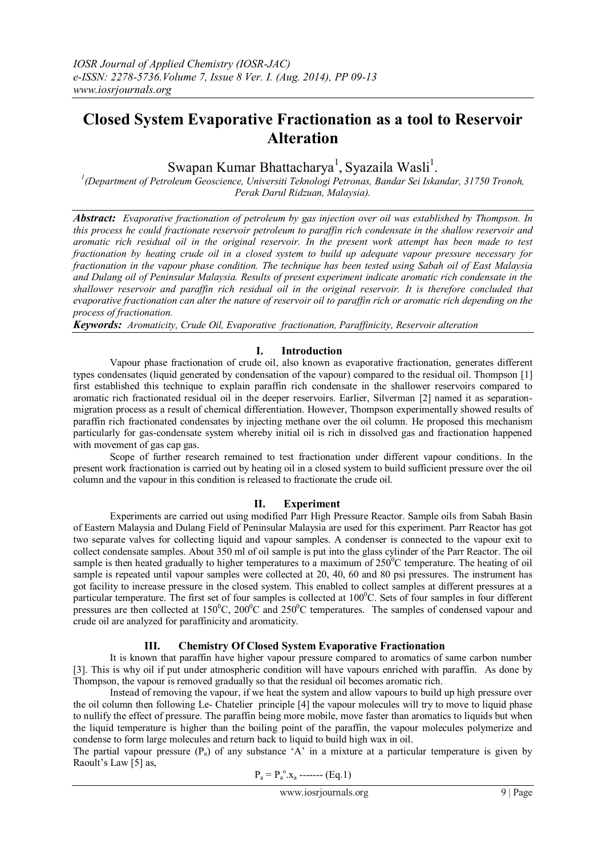# **Closed System Evaporative Fractionation as a tool to Reservoir Alteration**

Swapan Kumar Bhattacharya<sup>1</sup>, Syazaila Wasli<sup>1</sup>.

*1 (Department of Petroleum Geoscience, Universiti Teknologi Petronas, Bandar Sei Iskandar, 31750 Tronoh, Perak Darul Ridzuan, Malaysia).*

*Abstract: Evaporative fractionation of petroleum by gas injection over oil was established by Thompson. In this process he could fractionate reservoir petroleum to paraffin rich condensate in the shallow reservoir and aromatic rich residual oil in the original reservoir. In the present work attempt has been made to test fractionation by heating crude oil in a closed system to build up adequate vapour pressure necessary for fractionation in the vapour phase condition. The technique has been tested using Sabah oil of East Malaysia and Dulang oil of Peninsular Malaysia. Results of present experiment indicate aromatic rich condensate in the shallower reservoir and paraffin rich residual oil in the original reservoir. It is therefore concluded that evaporative fractionation can alter the nature of reservoir oil to paraffin rich or aromatic rich depending on the process of fractionation.* 

*Keywords: Aromaticity, Crude Oil, Evaporative fractionation, Paraffinicity, Reservoir alteration*

# **I. Introduction**

Vapour phase fractionation of crude oil, also known as evaporative fractionation, generates different types condensates (liquid generated by condensation of the vapour) compared to the residual oil. Thompson [1] first established this technique to explain paraffin rich condensate in the shallower reservoirs compared to aromatic rich fractionated residual oil in the deeper reservoirs. Earlier, Silverman [2] named it as separationmigration process as a result of chemical differentiation. However, Thompson experimentally showed results of paraffin rich fractionated condensates by injecting methane over the oil column. He proposed this mechanism particularly for gas-condensate system whereby initial oil is rich in dissolved gas and fractionation happened with movement of gas cap gas.

Scope of further research remained to test fractionation under different vapour conditions. In the present work fractionation is carried out by heating oil in a closed system to build sufficient pressure over the oil column and the vapour in this condition is released to fractionate the crude oil.

## **II. Experiment**

Experiments are carried out using modified Parr High Pressure Reactor. Sample oils from Sabah Basin of Eastern Malaysia and Dulang Field of Peninsular Malaysia are used for this experiment. Parr Reactor has got two separate valves for collecting liquid and vapour samples. A condenser is connected to the vapour exit to collect condensate samples. About 350 ml of oil sample is put into the glass cylinder of the Parr Reactor. The oil sample is then heated gradually to higher temperatures to a maximum of  $250^{\circ}$ C temperature. The heating of oil sample is repeated until vapour samples were collected at 20, 40, 60 and 80 psi pressures. The instrument has got facility to increase pressure in the closed system. This enabled to collect samples at different pressures at a particular temperature. The first set of four samples is collected at  $100^{\circ}$ C. Sets of four samples in four different pressures are then collected at  $150^{\circ}$ C,  $200^{\circ}$ C and  $250^{\circ}$ C temperatures. The samples of condensed vapour and crude oil are analyzed for paraffinicity and aromaticity.

# **III. Chemistry Of Closed System Evaporative Fractionation**

It is known that paraffin have higher vapour pressure compared to aromatics of same carbon number [3]. This is why oil if put under atmospheric condition will have vapours enriched with paraffin. As done by Thompson, the vapour is removed gradually so that the residual oil becomes aromatic rich.

Instead of removing the vapour, if we heat the system and allow vapours to build up high pressure over the oil column then following Le- Chatelier principle [4] the vapour molecules will try to move to liquid phase to nullify the effect of pressure. The paraffin being more mobile, move faster than aromatics to liquids but when the liquid temperature is higher than the boiling point of the paraffin, the vapour molecules polymerize and condense to form large molecules and return back to liquid to build high wax in oil.

The partial vapour pressure  $(P_a)$  of any substance 'A' in a mixture at a particular temperature is given by Raoult's Law [5] as,

$$
P_a = P_a^o.x_a
$$
----- (Eq.1)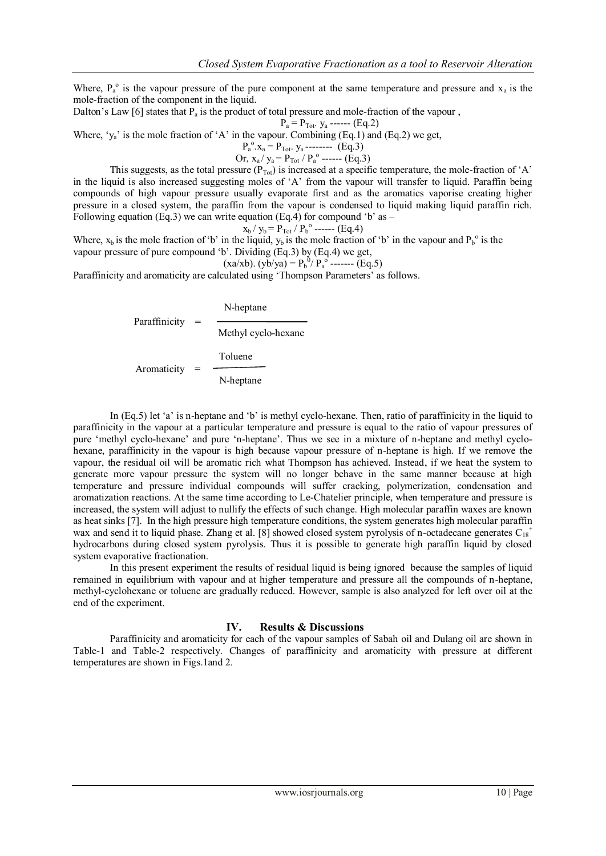Where,  $P_a^{\circ}$  is the vapour pressure of the pure component at the same temperature and pressure and  $x_a$  is the mole-fraction of the component in the liquid.

Dalton's Law [6] states that  $P_a$  is the product of total pressure and mole-fraction of the vapour,

$$
P_a = P_{Tot}
$$
.  $y_a$  -----(Eq.2)

Where, ' $y_a$ ' is the mole fraction of 'A' in the vapour. Combining (Eq.1) and (Eq.2) we get,

$$
P_a^o
$$
. $x_a = P_{Tot}$ . $y_a$ ----- (Eq.3)  
Or  $x / y = P / P^o$  (Eq.3)

Or, 
$$
x_a / y_a = P_{Tot} / P_a^{\circ}
$$
 -----(Eq.3)

This suggests, as the total pressure ( $P_{Tot}$ ) is increased at a specific temperature, the mole-fraction of 'A' in the liquid is also increased suggesting moles of 'A' from the vapour will transfer to liquid. Paraffin being compounds of high vapour pressure usually evaporate first and as the aromatics vaporise creating higher pressure in a closed system, the paraffin from the vapour is condensed to liquid making liquid paraffin rich. Following equation (Eq.3) we can write equation (Eq.4) for compound 'b' as –

$$
x_{b} / y_{b} = P_{Tot} / P_{b}^{o}
$$
 -----(Eq.4)

Where,  $x_b$  is the mole fraction of 'b' in the liquid,  $y_b$  is the mole fraction of 'b' in the vapour and  $P_b^o$  is the vapour pressure of pure compound 'b'. Dividing (Eq.3) by (Eq.4) we get,

(xa/xb). (yb/ya) = 
$$
P_b^0 / P_a^0
$$
----- (Eq.5)

Paraffinicity and aromaticity are calculated using 'Thompson Parameters' as follows.

 **=** Aromaticity = N-heptane Methyl cyclo-hexane Toluene N-heptane Paraffinicity

In (Eq.5) let 'a' is n-heptane and 'b' is methyl cyclo-hexane. Then, ratio of paraffinicity in the liquid to paraffinicity in the vapour at a particular temperature and pressure is equal to the ratio of vapour pressures of pure 'methyl cyclo-hexane' and pure 'n-heptane'. Thus we see in a mixture of n-heptane and methyl cyclohexane, paraffinicity in the vapour is high because vapour pressure of n-heptane is high. If we remove the vapour, the residual oil will be aromatic rich what Thompson has achieved. Instead, if we heat the system to generate more vapour pressure the system will no longer behave in the same manner because at high temperature and pressure individual compounds will suffer cracking, polymerization, condensation and aromatization reactions. At the same time according to Le-Chatelier principle, when temperature and pressure is increased, the system will adjust to nullify the effects of such change. High molecular paraffin waxes are known as heat sinks [7]. In the high pressure high temperature conditions, the system generates high molecular paraffin wax and send it to liquid phase. Zhang et al. [8] showed closed system pyrolysis of n-octadecane generates  $C_{18}^+$ hydrocarbons during closed system pyrolysis. Thus it is possible to generate high paraffin liquid by closed system evaporative fractionation.

In this present experiment the results of residual liquid is being ignored because the samples of liquid remained in equilibrium with vapour and at higher temperature and pressure all the compounds of n-heptane, methyl-cyclohexane or toluene are gradually reduced. However, sample is also analyzed for left over oil at the end of the experiment.

### **IV. Results & Discussions**

Paraffinicity and aromaticity for each of the vapour samples of Sabah oil and Dulang oil are shown in Table-1 and Table-2 respectively. Changes of paraffinicity and aromaticity with pressure at different temperatures are shown in Figs.1and 2.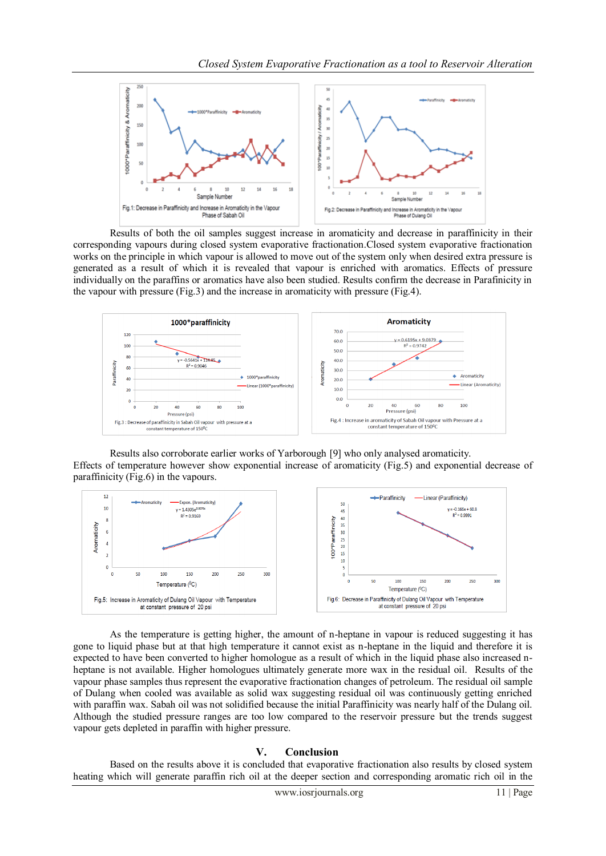

Results of both the oil samples suggest increase in aromaticity and decrease in paraffinicity in their corresponding vapours during closed system evaporative fractionation.Closed system evaporative fractionation works on the principle in which vapour is allowed to move out of the system only when desired extra pressure is generated as a result of which it is revealed that vapour is enriched with aromatics. Effects of pressure individually on the paraffins or aromatics have also been studied. Results confirm the decrease in Parafinicity in the vapour with pressure (Fig.3) and the increase in aromaticity with pressure (Fig.4).



Results also corroborate earlier works of Yarborough [9] who only analysed aromaticity. Effects of temperature however show exponential increase of aromaticity (Fig.5) and exponential decrease of paraffinicity (Fig.6) in the vapours.



As the temperature is getting higher, the amount of n-heptane in vapour is reduced suggesting it has gone to liquid phase but at that high temperature it cannot exist as n-heptane in the liquid and therefore it is expected to have been converted to higher homologue as a result of which in the liquid phase also increased nheptane is not available. Higher homologues ultimately generate more wax in the residual oil. Results of the vapour phase samples thus represent the evaporative fractionation changes of petroleum. The residual oil sample of Dulang when cooled was available as solid wax suggesting residual oil was continuously getting enriched with paraffin wax. Sabah oil was not solidified because the initial Paraffinicity was nearly half of the Dulang oil. Although the studied pressure ranges are too low compared to the reservoir pressure but the trends suggest vapour gets depleted in paraffin with higher pressure.

#### **V. Conclusion**

Based on the results above it is concluded that evaporative fractionation also results by closed system heating which will generate paraffin rich oil at the deeper section and corresponding aromatic rich oil in the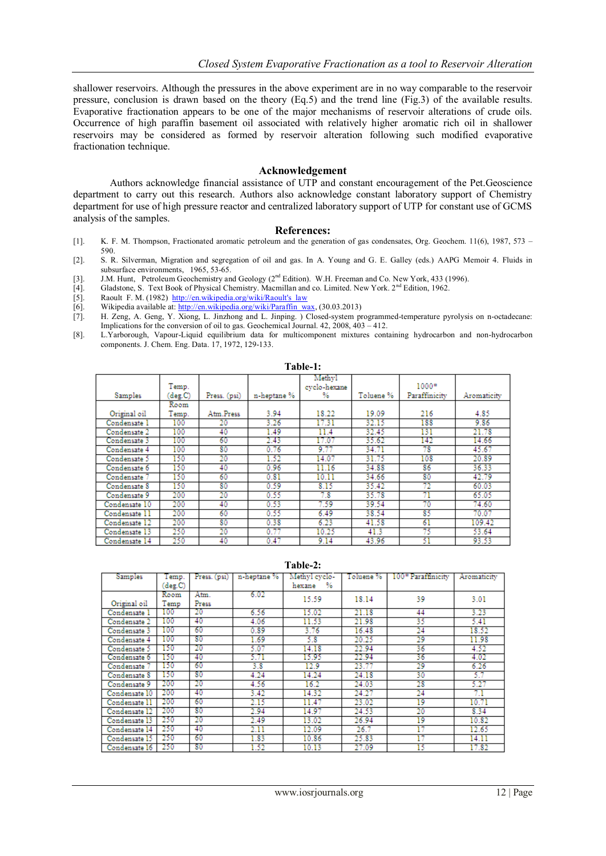shallower reservoirs. Although the pressures in the above experiment are in no way comparable to the reservoir pressure, conclusion is drawn based on the theory (Eq.5) and the trend line (Fig.3) of the available results. Evaporative fractionation appears to be one of the major mechanisms of reservoir alterations of crude oils. Occurrence of high paraffin basement oil associated with relatively higher aromatic rich oil in shallower reservoirs may be considered as formed by reservoir alteration following such modified evaporative fractionation technique.

#### **Acknowledgement**

Authors acknowledge financial assistance of UTP and constant encouragement of the Pet.Geoscience department to carry out this research. Authors also acknowledge constant laboratory support of Chemistry department for use of high pressure reactor and centralized laboratory support of UTP for constant use of GCMS analysis of the samples.

#### **References:**

- [1]. K. F. M. Thompson, Fractionated aromatic petroleum and the generation of gas condensates, Org. Geochem. 11(6), 1987, 573 590.
- [2]. S. R. Silverman, Migration and segregation of oil and gas. In A. Young and G. E. Galley (eds.) AAPG Memoir 4. Fluids in subsurface environments, 1965, 53-65.
- [3]. J.M. Hunt, Petroleum Geochemistry and Geology (2<sup>nd</sup> Edition). W.H. Freeman and Co. New York, 433 (1996).
- [4]. Gladstone, S. Text Book of Physical Chemistry. Macmillan and co. Limited. New York. 2nd Edition, 1962.
- [5]. Raoult F. M. (1982) http://en.wikipedia.org/wiki/Raoult's\_law [6]. Wikipedia available at: http://en.wikipedia.org/wiki/Paraffin was
- Wikipedia available at[: http://en.wikipedia.org/wiki/Paraffin\\_wax,](http://en.wikipedia.org/wiki/Paraffin_wax) (30.03.2013)
- [7]. H. Zeng, A. Geng, Y. Xiong, L. Jinzhong and L. Jinping. ) Closed-system programmed-temperature pyrolysis on n-octadecane: Implications for the conversion of oil to gas. Geochemical Journal. 42, 2008, 403 – 412.
- [8]. L.Yarborough, Vapour-Liquid equilibrium data for multicomponent mixtures containing hydrocarbon and non-hydrocarbon components. J. Chem. Eng. Data. 17, 1972, 129-133.

| Table-1:      |                  |              |             |                              |           |                          |             |  |  |  |  |
|---------------|------------------|--------------|-------------|------------------------------|-----------|--------------------------|-------------|--|--|--|--|
| Samples       | Temp.<br>(deg.C) | Press. (psi) | n-heptane % | Methyl<br>evelo-hexane<br>%. | Toluene % | $1000*$<br>Paraffinicity | Aromaticity |  |  |  |  |
|               | Room             |              |             |                              |           |                          |             |  |  |  |  |
| Original oil  | Temp.            | Atm.Press    | 3.94        | 18.22                        | 19.09     | 216                      | 4.85        |  |  |  |  |
| Condensate 1  | 100              | 20           | 3.26        | 17.31                        | 32.15     | 188                      | 9.86        |  |  |  |  |
| Condensate 2  | 100              | 40           | 1.49        | 11.4                         | 32.45     | 131                      | 21.78       |  |  |  |  |
| Condensate 3  | 100              | 60           | 2.43        | 17.07                        | 35.62     | 142                      | 14.66       |  |  |  |  |
| Condensate 4  | 100              | 80           | 0.76        | 9.77                         | 34.71     | 78                       | 45.67       |  |  |  |  |
| Condensate 5  | 150              | 20           | 1.52        | 14.07                        | 31.75     | 108                      | 20.89       |  |  |  |  |
| Condensate 6  | 150              | 40           | 0.96        | 11.16                        | 34.88     | 86                       | 36.33       |  |  |  |  |
| Condensate 7  | 150              | 60           | 0.81        | 10.11                        | 34.66     | 80                       | 42.79       |  |  |  |  |
| Condensate 8  | 150              | 80           | 0.59        | 8.15                         | 35.42     | 72                       | 60.03       |  |  |  |  |
| Condensate 9  | 200              | 20           | 0.55        | 7.8                          | 35.78     | 71                       | 65.05       |  |  |  |  |
| Condensate 10 | 200              | 40           | 0.53        | 7.59                         | 39.54     | 70                       | 74.60       |  |  |  |  |
| Condensate 11 | 200              | 60           | 0.55        | 6.49                         | 38.54     | 85                       | 70.07       |  |  |  |  |
| Condensate 12 | 200              | 80           | 0.38        | 6.23                         | 41.58     | 61                       | 109.42      |  |  |  |  |
| Condensate 13 | 250              | 20           | 0.77        | 10.25                        | 41.3      | 75                       | 53.64       |  |  |  |  |
| Condensate 14 | 250              | 40           | 0.47        | 9.14                         | 43.96     | 51                       | 93.53       |  |  |  |  |

#### **Table-2:**

| Samples       | Femp.   | Press. (psi) | n-heptane % | Methyl cyclo- | Toluene % | 100* Paraffinicity | Aromaticity |
|---------------|---------|--------------|-------------|---------------|-----------|--------------------|-------------|
|               | (deg.C) |              |             | %<br>hexane   |           |                    |             |
|               | Room    | Atm.         | 6.02        | 15.59         | 18.14     | 39                 | 3.01        |
| Original oil  | Temp    | Press        |             |               |           |                    |             |
| Condensate 1  | 100     | 20           | 6.56        | 15.02         | 21.18     | 44                 | 3.23        |
| Condensate 2  | 100     | 40           | 4.06        | 11.53         | 21.98     | 35                 | 5.41        |
| Condensate 3  | 100     | 60           | 0.89        | 3.76          | 16.48     | 24                 | 18.52       |
| Condensate 4  | 100     | 80           | 1.69        | 5.8           | 20.25     | 29                 | 11.98       |
| Condensate 5  | 150     | 20           | 5.07        | 14.18         | 22.94     | 36                 | 4.52        |
| Condensate 6  | 150     | 40           | 5.71        | 15.95         | 22.94     | 36                 | 4.02        |
| Condensate    | 150     | 60           | 3.8         | 12.9          | 23.77     | 29                 | 6.26        |
| Condensate 8  | 150     | 80           | 4.24        | 14.24         | 24.18     | 30                 | 5.7         |
| Condensate 9  | 200     | 20           | 4.56        | 16.2          | 24.03     | 28                 | 5.27        |
| Condensate 10 | 200     | 40           | 3.42        | 14.32         | 24.27     | 24                 | 7.1         |
| Condensate 11 | 200     | 60           | 2.15        | 11.47         | 23.02     | 19                 | 10.71       |
| Condensate 12 | 200     | 80           | 2.94        | 14.97         | 24.53     | 20                 | 8.34        |
| Condensate 13 | 250     | 20           | 2.49        | 13.02         | 26.94     | 19                 | 10.82       |
| Condensate 14 | 250     | 40           | 2.11        | 12.09         | 26.7      | 17                 | 12.65       |
| Condensate 15 | 250     | 60           | 1.83        | 10.86         | 25.83     | 17                 | 14.11       |
| Condensate 16 | 250     | 80           | 1.52        | 10.13         | 27.09     | 15                 | 17.82       |